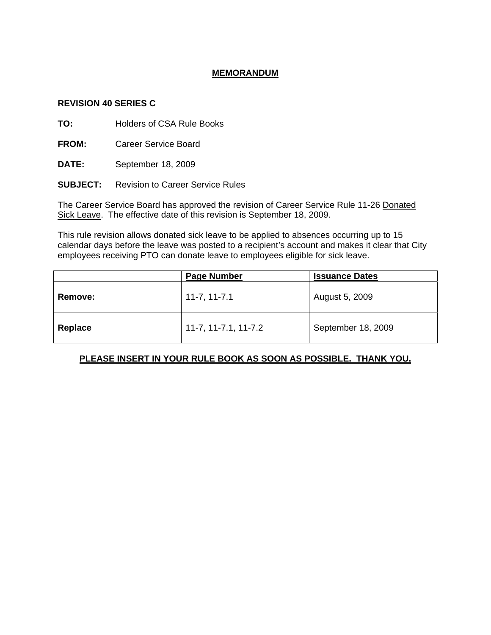## **MEMORANDUM**

## **REVISION 40 SERIES C**

**TO:** Holders of CSA Rule Books

**FROM:** Career Service Board

**DATE:** September 18, 2009

**SUBJECT:** Revision to Career Service Rules

The Career Service Board has approved the revision of Career Service Rule 11-26 Donated Sick Leave. The effective date of this revision is September 18, 2009.

This rule revision allows donated sick leave to be applied to absences occurring up to 15 calendar days before the leave was posted to a recipient's account and makes it clear that City employees receiving PTO can donate leave to employees eligible for sick leave.

|                | <b>Page Number</b>   | <b>Issuance Dates</b> |
|----------------|----------------------|-----------------------|
| <b>Remove:</b> | $11-7, 11-7.1$       | August 5, 2009        |
| Replace        | 11-7, 11-7.1, 11-7.2 | September 18, 2009    |

## **PLEASE INSERT IN YOUR RULE BOOK AS SOON AS POSSIBLE. THANK YOU.**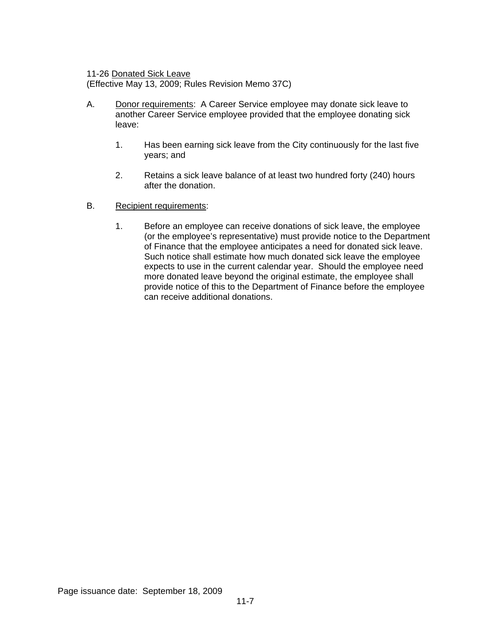11-26 Donated Sick Leave

(Effective May 13, 2009; Rules Revision Memo 37C)

- A. Donor requirements: A Career Service employee may donate sick leave to another Career Service employee provided that the employee donating sick leave:
	- 1. Has been earning sick leave from the City continuously for the last five years; and
	- 2. Retains a sick leave balance of at least two hundred forty (240) hours after the donation.
- B. Recipient requirements:
	- 1. Before an employee can receive donations of sick leave, the employee (or the employee's representative) must provide notice to the Department of Finance that the employee anticipates a need for donated sick leave. Such notice shall estimate how much donated sick leave the employee expects to use in the current calendar year. Should the employee need more donated leave beyond the original estimate, the employee shall provide notice of this to the Department of Finance before the employee can receive additional donations.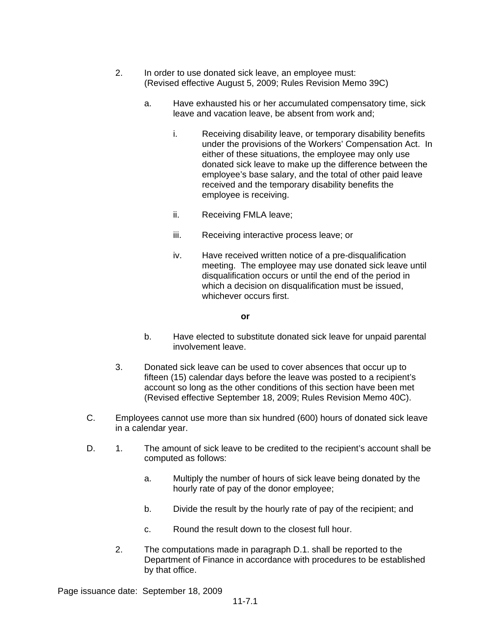- 2. In order to use donated sick leave, an employee must: (Revised effective August 5, 2009; Rules Revision Memo 39C)
	- a. Have exhausted his or her accumulated compensatory time, sick leave and vacation leave, be absent from work and;
		- i. Receiving disability leave, or temporary disability benefits under the provisions of the Workers' Compensation Act. In either of these situations, the employee may only use donated sick leave to make up the difference between the employee's base salary, and the total of other paid leave received and the temporary disability benefits the employee is receiving.
		- ii. Receiving FMLA leave;
		- iii. Receiving interactive process leave; or
		- iv. Have received written notice of a pre-disqualification meeting. The employee may use donated sick leave until disqualification occurs or until the end of the period in which a decision on disqualification must be issued, whichever occurs first.

**or** 

- b. Have elected to substitute donated sick leave for unpaid parental involvement leave.
- 3. Donated sick leave can be used to cover absences that occur up to fifteen (15) calendar days before the leave was posted to a recipient's account so long as the other conditions of this section have been met (Revised effective September 18, 2009; Rules Revision Memo 40C).
- C. Employees cannot use more than six hundred (600) hours of donated sick leave in a calendar year.
- D. 1. The amount of sick leave to be credited to the recipient's account shall be computed as follows:
	- a. Multiply the number of hours of sick leave being donated by the hourly rate of pay of the donor employee;
	- b. Divide the result by the hourly rate of pay of the recipient; and
	- c. Round the result down to the closest full hour.
	- 2. The computations made in paragraph D.1. shall be reported to the Department of Finance in accordance with procedures to be established by that office.

Page issuance date: September 18, 2009